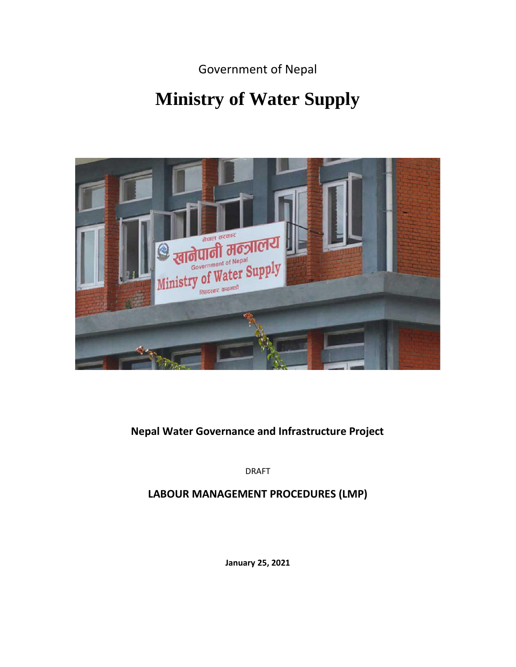Government of Nepal

# **Ministry of Water Supply**



## **Nepal Water Governance and Infrastructure Project**

DRAFT

**LABOUR MANAGEMENT PROCEDURES (LMP)**

**January 25, 2021**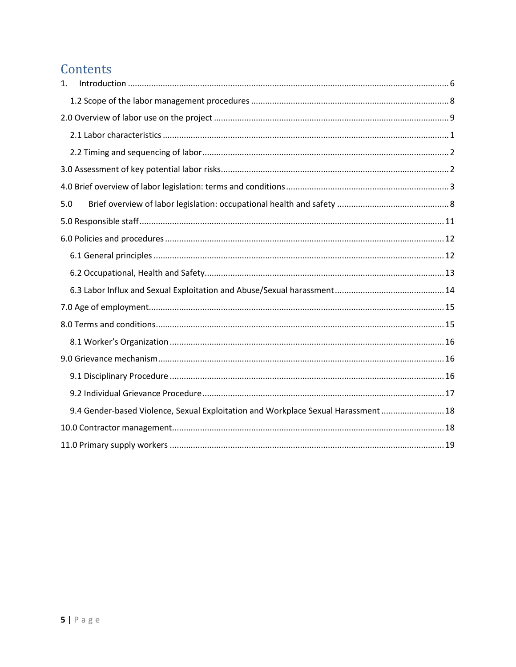## Contents

| $\mathbf{1}$ . |                                                                                    |  |
|----------------|------------------------------------------------------------------------------------|--|
|                |                                                                                    |  |
|                |                                                                                    |  |
|                |                                                                                    |  |
|                |                                                                                    |  |
|                |                                                                                    |  |
|                |                                                                                    |  |
| 5.0            |                                                                                    |  |
|                |                                                                                    |  |
|                |                                                                                    |  |
|                |                                                                                    |  |
|                |                                                                                    |  |
|                |                                                                                    |  |
|                |                                                                                    |  |
|                |                                                                                    |  |
|                |                                                                                    |  |
|                |                                                                                    |  |
|                |                                                                                    |  |
|                |                                                                                    |  |
|                | 9.4 Gender-based Violence, Sexual Exploitation and Workplace Sexual Harassment  18 |  |
|                |                                                                                    |  |
|                |                                                                                    |  |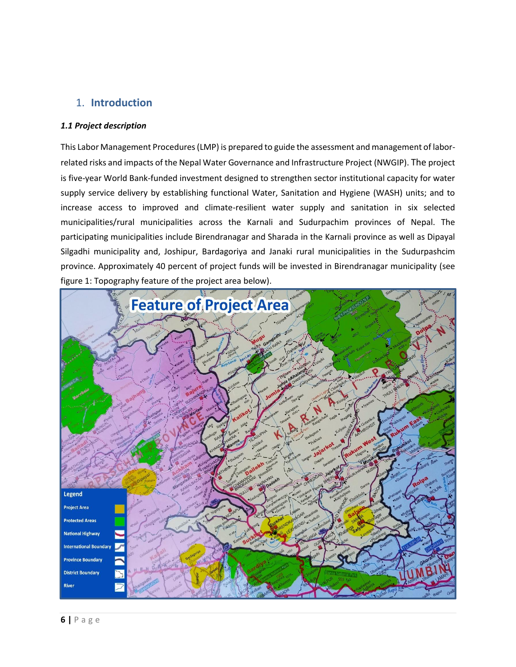## <span id="page-2-0"></span>1. **Introduction**

#### *1.1 Project description*

This Labor Management Procedures (LMP) is prepared to guide the assessment and management of laborrelated risks and impacts of the Nepal Water Governance and Infrastructure Project (NWGIP). The project is five-year World Bank-funded investment designed to strengthen sector institutional capacity for water supply service delivery by establishing functional Water, Sanitation and Hygiene (WASH) units; and to increase access to improved and climate-resilient water supply and sanitation in six selected municipalities/rural municipalities across the Karnali and Sudurpachim provinces of Nepal. The participating municipalities include Birendranagar and Sharada in the Karnali province as well as Dipayal Silgadhi municipality and, Joshipur, Bardagoriya and Janaki rural municipalities in the Sudurpashcim province. Approximately 40 percent of project funds will be invested in Birendranagar municipality (see figure 1: Topography feature of the project area below).

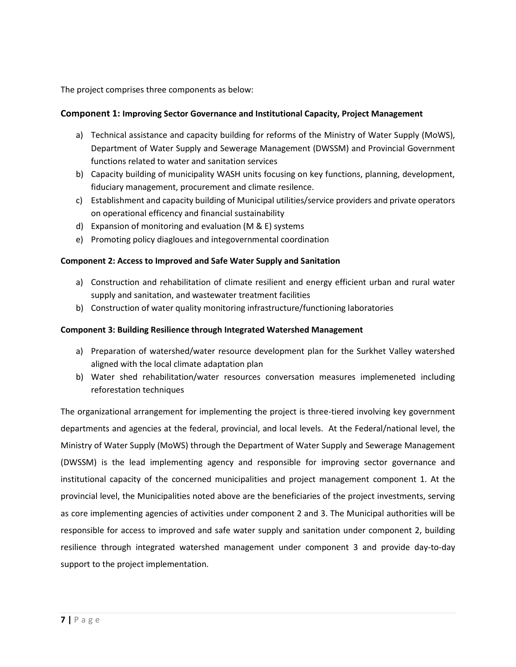The project comprises three components as below:

#### **Component 1: Improving Sector Governance and Institutional Capacity, Project Management**

- a) Technical assistance and capacity building for reforms of the Ministry of Water Supply (MoWS), Department of Water Supply and Sewerage Management (DWSSM) and Provincial Government functions related to water and sanitation services
- b) Capacity building of municipality WASH units focusing on key functions, planning, development, fiduciary management, procurement and climate resilence.
- c) Establishment and capacity building of Municipal utilities/service providers and private operators on operational efficency and financial sustainability
- d) Expansion of monitoring and evaluation (M & E) systems
- e) Promoting policy diagloues and integovernmental coordination

#### **Component 2: Access to Improved and Safe Water Supply and Sanitation**

- a) Construction and rehabilitation of climate resilient and energy efficient urban and rural water supply and sanitation, and wastewater treatment facilities
- b) Construction of water quality monitoring infrastructure/functioning laboratories

#### **Component 3: Building Resilience through Integrated Watershed Management**

- a) Preparation of watershed/water resource development plan for the Surkhet Valley watershed aligned with the local climate adaptation plan
- b) Water shed rehabilitation/water resources conversation measures implemeneted including reforestation techniques

The organizational arrangement for implementing the project is three-tiered involving key government departments and agencies at the federal, provincial, and local levels. At the Federal/national level, the Ministry of Water Supply (MoWS) through the Department of Water Supply and Sewerage Management (DWSSM) is the lead implementing agency and responsible for improving sector governance and institutional capacity of the concerned municipalities and project management component 1. At the provincial level, the Municipalities noted above are the beneficiaries of the project investments, serving as core implementing agencies of activities under component 2 and 3. The Municipal authorities will be responsible for access to improved and safe water supply and sanitation under component 2, building resilience through integrated watershed management under component 3 and provide day-to-day support to the project implementation.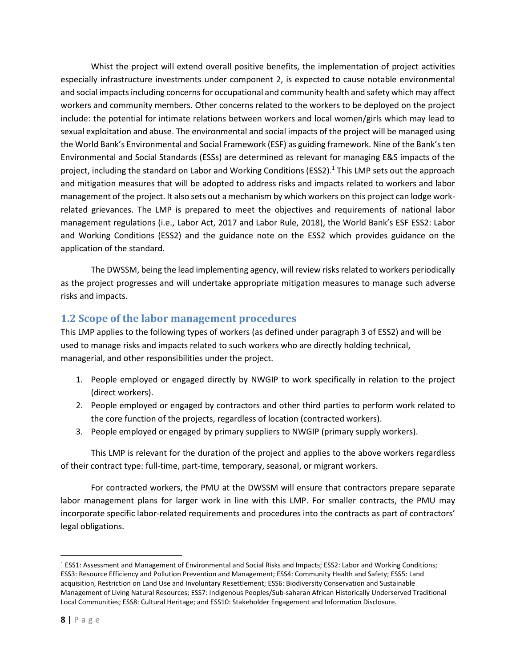Whist the project will extend overall positive benefits, the implementation of project activities especially infrastructure investments under component 2, is expected to cause notable environmental and social impacts including concerns for occupational and community health and safety which may affect workers and community members. Other concerns related to the workers to be deployed on the project include: the potential for intimate relations between workers and local women/girls which may lead to sexual exploitation and abuse. The environmental and social impacts of the project will be managed using the World Bank's Environmental and Social Framework (ESF) as guiding framework. Nine of the Bank's ten Environmental and Social Standards (ESSs) are determined as relevant for managing E&S impacts of the project, including the standard on Labor and Working Conditions (ESS2).<sup>1</sup> This LMP sets out the approach and mitigation measures that will be adopted to address risks and impacts related to workers and labor management of the project. It also sets out a mechanism by which workers on this project can lodge workrelated grievances. The LMP is prepared to meet the objectives and requirements of national labor management regulations (i.e., Labor Act, 2017 and Labor Rule, 2018), the World Bank's ESF ESS2: Labor and Working Conditions (ESS2) and the guidance note on the ESS2 which provides guidance on the application of the standard.

The DWSSM, being the lead implementing agency, will review risks related to workers periodically as the project progresses and will undertake appropriate mitigation measures to manage such adverse risks and impacts.

## <span id="page-4-0"></span>**1.2 Scope of the labor management procedures**

This LMP applies to the following types of workers (as defined under paragraph 3 of ESS2) and will be used to manage risks and impacts related to such workers who are directly holding technical, managerial, and other responsibilities under the project.

- 1. People employed or engaged directly by NWGIP to work specifically in relation to the project (direct workers).
- 2. People employed or engaged by contractors and other third parties to perform work related to the core function of the projects, regardless of location (contracted workers).
- 3. People employed or engaged by primary suppliers to NWGIP (primary supply workers).

This LMP is relevant for the duration of the project and applies to the above workers regardless of their contract type: full-time, part-time, temporary, seasonal, or migrant workers.

For contracted workers, the PMU at the DWSSM will ensure that contractors prepare separate labor management plans for larger work in line with this LMP. For smaller contracts, the PMU may incorporate specific labor-related requirements and procedures into the contracts as part of contractors' legal obligations.

<sup>1</sup> ESS1: Assessment and Management of Environmental and Social Risks and Impacts; ESS2: Labor and Working Conditions; ESS3: Resource Efficiency and Pollution Prevention and Management; ESS4: Community Health and Safety; ESS5: Land acquisition, Restriction on Land Use and Involuntary Resettlement; ESS6: Biodiversity Conservation and Sustainable Management of Living Natural Resources; ESS7: Indigenous Peoples/Sub-saharan African Historically Underserved Traditional Local Communities; ESS8: Cultural Heritage; and ESS10: Stakeholder Engagement and Information Disclosure.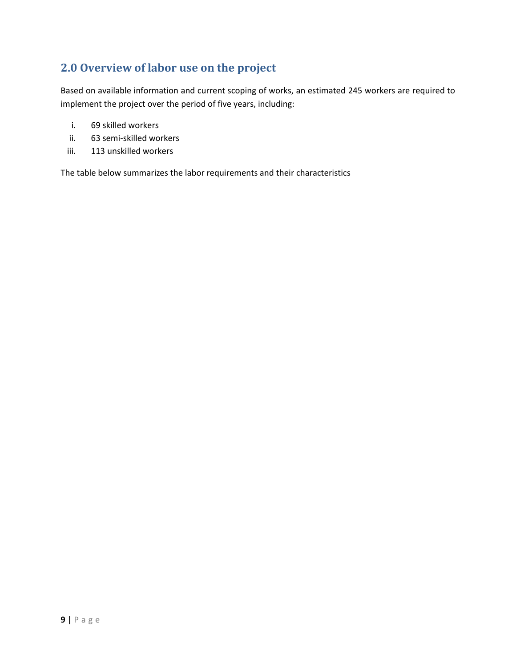## <span id="page-5-0"></span>**2.0 Overview of labor use on the project**

Based on available information and current scoping of works, an estimated 245 workers are required to implement the project over the period of five years, including:

- i. 69 skilled workers
- ii. 63 semi-skilled workers
- iii. 113 unskilled workers

The table below summarizes the labor requirements and their characteristics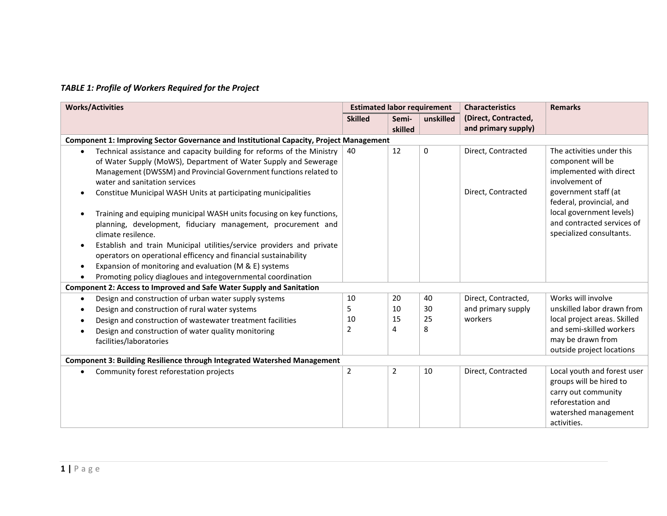## *TABLE 1: Profile of Workers Required for the Project*

| <b>Works/Activities</b>                                                  |                                                                                                                                                                                                                                                 | <b>Estimated labor requirement</b> |                  | <b>Characteristics</b> | <b>Remarks</b>                              |                                                                                             |
|--------------------------------------------------------------------------|-------------------------------------------------------------------------------------------------------------------------------------------------------------------------------------------------------------------------------------------------|------------------------------------|------------------|------------------------|---------------------------------------------|---------------------------------------------------------------------------------------------|
|                                                                          |                                                                                                                                                                                                                                                 | <b>Skilled</b>                     | Semi-<br>skilled | unskilled              | (Direct, Contracted,<br>and primary supply) |                                                                                             |
|                                                                          | <b>Component 1: Improving Sector Governance and Institutional Capacity, Project Management</b>                                                                                                                                                  |                                    |                  |                        |                                             |                                                                                             |
|                                                                          | Technical assistance and capacity building for reforms of the Ministry<br>of Water Supply (MoWS), Department of Water Supply and Sewerage<br>Management (DWSSM) and Provincial Government functions related to<br>water and sanitation services | 40                                 | 12               | 0                      | Direct, Contracted                          | The activities under this<br>component will be<br>implemented with direct<br>involvement of |
|                                                                          | Constitue Municipal WASH Units at participating municipalities<br>Training and equiping municipal WASH units focusing on key functions,                                                                                                         |                                    |                  |                        | Direct, Contracted                          | government staff (at<br>federal, provincial, and<br>local government levels)                |
|                                                                          | planning, development, fiduciary management, procurement and<br>climate resilence.                                                                                                                                                              |                                    |                  |                        |                                             | and contracted services of<br>specialized consultants.                                      |
|                                                                          | Establish and train Municipal utilities/service providers and private<br>operators on operational efficency and financial sustainability                                                                                                        |                                    |                  |                        |                                             |                                                                                             |
|                                                                          | Expansion of monitoring and evaluation (M & E) systems                                                                                                                                                                                          |                                    |                  |                        |                                             |                                                                                             |
|                                                                          | Promoting policy diagloues and integovernmental coordination                                                                                                                                                                                    |                                    |                  |                        |                                             |                                                                                             |
|                                                                          | Component 2: Access to Improved and Safe Water Supply and Sanitation                                                                                                                                                                            |                                    |                  |                        |                                             |                                                                                             |
| $\bullet$                                                                | Design and construction of urban water supply systems                                                                                                                                                                                           | 10                                 | 20               | 40                     | Direct, Contracted,                         | Works will involve                                                                          |
|                                                                          | Design and construction of rural water systems                                                                                                                                                                                                  | 5                                  | 10               | 30                     | and primary supply                          | unskilled labor drawn from                                                                  |
|                                                                          | Design and construction of wastewater treatment facilities                                                                                                                                                                                      | 10                                 | 15               | 25                     | workers                                     | local project areas. Skilled                                                                |
|                                                                          | Design and construction of water quality monitoring                                                                                                                                                                                             | 2                                  | 4                | 8                      |                                             | and semi-skilled workers                                                                    |
|                                                                          | facilities/laboratories                                                                                                                                                                                                                         |                                    |                  |                        |                                             | may be drawn from                                                                           |
|                                                                          |                                                                                                                                                                                                                                                 |                                    |                  |                        |                                             | outside project locations                                                                   |
| Component 3: Building Resilience through Integrated Watershed Management |                                                                                                                                                                                                                                                 |                                    |                  |                        |                                             |                                                                                             |
|                                                                          | Community forest reforestation projects                                                                                                                                                                                                         | $\overline{2}$                     | $\overline{2}$   | 10                     | Direct, Contracted                          | Local youth and forest user                                                                 |
|                                                                          |                                                                                                                                                                                                                                                 |                                    |                  |                        |                                             | groups will be hired to                                                                     |
|                                                                          |                                                                                                                                                                                                                                                 |                                    |                  |                        |                                             | carry out community                                                                         |
|                                                                          |                                                                                                                                                                                                                                                 |                                    |                  |                        |                                             | reforestation and                                                                           |
|                                                                          |                                                                                                                                                                                                                                                 |                                    |                  |                        |                                             | watershed management                                                                        |
|                                                                          |                                                                                                                                                                                                                                                 |                                    |                  |                        |                                             | activities.                                                                                 |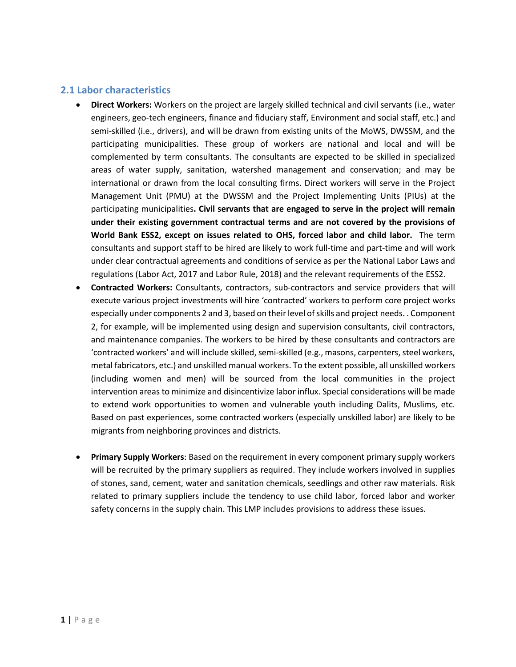## <span id="page-7-0"></span>**2.1 Labor characteristics**

- **Direct Workers:** Workers on the project are largely skilled technical and civil servants (i.e., water engineers, geo-tech engineers, finance and fiduciary staff, Environment and social staff, etc.) and semi-skilled (i.e., drivers), and will be drawn from existing units of the MoWS, DWSSM, and the participating municipalities. These group of workers are national and local and will be complemented by term consultants. The consultants are expected to be skilled in specialized areas of water supply, sanitation, watershed management and conservation; and may be international or drawn from the local consulting firms. Direct workers will serve in the Project Management Unit (PMU) at the DWSSM and the Project Implementing Units (PIUs) at the participating municipalities**. Civil servants that are engaged to serve in the project will remain under their existing government contractual terms and are not covered by the provisions of World Bank ESS2, except on issues related to OHS, forced labor and child labor.** The term consultants and support staff to be hired are likely to work full-time and part-time and will work under clear contractual agreements and conditions of service as per the National Labor Laws and regulations (Labor Act, 2017 and Labor Rule, 2018) and the relevant requirements of the ESS2.
- **Contracted Workers:** Consultants, contractors, sub-contractors and service providers that will execute various project investments will hire 'contracted' workers to perform core project works especially under components 2 and 3, based on their level of skills and project needs. . Component 2, for example, will be implemented using design and supervision consultants, civil contractors, and maintenance companies. The workers to be hired by these consultants and contractors are 'contracted workers' and will include skilled, semi-skilled (e.g., masons, carpenters, steel workers, metal fabricators, etc.) and unskilled manual workers. To the extent possible, all unskilled workers (including women and men) will be sourced from the local communities in the project intervention areas to minimize and disincentivize labor influx. Special considerations will be made to extend work opportunities to women and vulnerable youth including Dalits, Muslims, etc. Based on past experiences, some contracted workers (especially unskilled labor) are likely to be migrants from neighboring provinces and districts.
- **Primary Supply Workers**: Based on the requirement in every component primary supply workers will be recruited by the primary suppliers as required. They include workers involved in supplies of stones, sand, cement, water and sanitation chemicals, seedlings and other raw materials. Risk related to primary suppliers include the tendency to use child labor, forced labor and worker safety concerns in the supply chain. This LMP includes provisions to address these issues.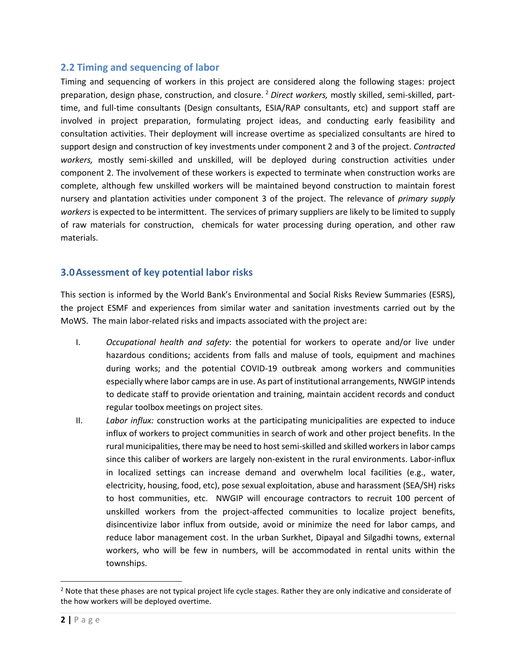#### <span id="page-8-0"></span>**2.2 Timing and sequencing of labor**

Timing and sequencing of workers in this project are considered along the following stages: project preparation, design phase, construction, and closure. <sup>2</sup> *Direct workers,* mostly skilled, semi-skilled, parttime, and full-time consultants (Design consultants, ESIA/RAP consultants, etc) and support staff are involved in project preparation, formulating project ideas, and conducting early feasibility and consultation activities. Their deployment will increase overtime as specialized consultants are hired to support design and construction of key investments under component 2 and 3 of the project. *Contracted workers,* mostly semi-skilled and unskilled, will be deployed during construction activities under component 2. The involvement of these workers is expected to terminate when construction works are complete, although few unskilled workers will be maintained beyond construction to maintain forest nursery and plantation activities under component 3 of the project. The relevance of *primary supply workers* is expected to be intermittent. The services of primary suppliers are likely to be limited to supply of raw materials for construction, chemicals for water processing during operation, and other raw materials.

#### <span id="page-8-1"></span>**3.0Assessment of key potential labor risks**

This section is informed by the World Bank's Environmental and Social Risks Review Summaries (ESRS), the project ESMF and experiences from similar water and sanitation investments carried out by the MoWS. The main labor-related risks and impacts associated with the project are:

- I. *Occupational health and safety*: the potential for workers to operate and/or live under hazardous conditions; accidents from falls and maluse of tools, equipment and machines during works; and the potential COVID-19 outbreak among workers and communities especially where labor camps are in use. As part of institutional arrangements, NWGIP intends to dedicate staff to provide orientation and training, maintain accident records and conduct regular toolbox meetings on project sites.
- II. *Labor influx:* construction works at the participating municipalities are expected to induce influx of workers to project communities in search of work and other project benefits. In the rural municipalities, there may be need to host semi-skilled and skilled workers in labor camps since this caliber of workers are largely non-existent in the rural environments. Labor-influx in localized settings can increase demand and overwhelm local facilities (e.g., water, electricity, housing, food, etc), pose sexual exploitation, abuse and harassment (SEA/SH) risks to host communities, etc. NWGIP will encourage contractors to recruit 100 percent of unskilled workers from the project-affected communities to localize project benefits, disincentivize labor influx from outside, avoid or minimize the need for labor camps, and reduce labor management cost. In the urban Surkhet, Dipayal and Silgadhi towns, external workers, who will be few in numbers, will be accommodated in rental units within the townships.

 $<sup>2</sup>$  Note that these phases are not typical project life cycle stages. Rather they are only indicative and considerate of</sup> the how workers will be deployed overtime.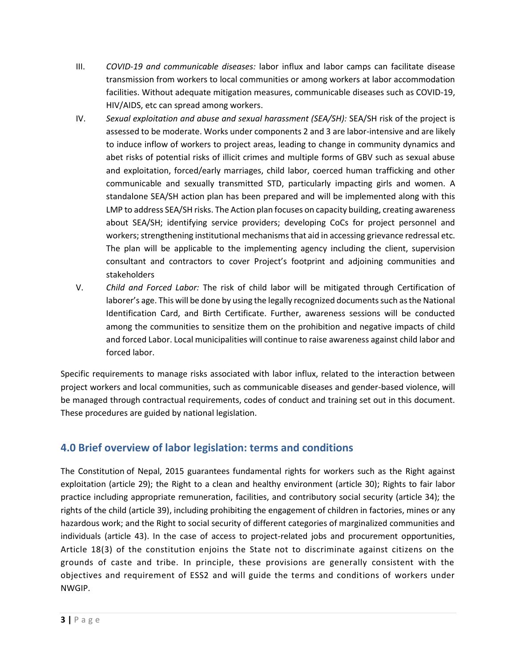- III. *COVID-19 and communicable diseases:* labor influx and labor camps can facilitate disease transmission from workers to local communities or among workers at labor accommodation facilities. Without adequate mitigation measures, communicable diseases such as COVID-19, HIV/AIDS, etc can spread among workers.
- IV. *Sexual exploitation and abuse and sexual harassment (SEA/SH):* SEA/SH risk of the project is assessed to be moderate. Works under components 2 and 3 are labor-intensive and are likely to induce inflow of workers to project areas, leading to change in community dynamics and abet risks of potential risks of illicit crimes and multiple forms of GBV such as sexual abuse and exploitation, forced/early marriages, child labor, coerced human trafficking and other communicable and sexually transmitted STD, particularly impacting girls and women. A standalone SEA/SH action plan has been prepared and will be implemented along with this LMP to address SEA/SH risks. The Action plan focuses on capacity building, creating awareness about SEA/SH; identifying service providers; developing CoCs for project personnel and workers; strengthening institutional mechanisms that aid in accessing grievance redressal etc. The plan will be applicable to the implementing agency including the client, supervision consultant and contractors to cover Project's footprint and adjoining communities and stakeholders
- V. *Child and Forced Labor:* The risk of child labor will be mitigated through Certification of laborer's age. This will be done by using the legally recognized documents such as the National Identification Card, and Birth Certificate. Further, awareness sessions will be conducted among the communities to sensitize them on the prohibition and negative impacts of child and forced Labor. Local municipalities will continue to raise awareness against child labor and forced labor.

Specific requirements to manage risks associated with labor influx, related to the interaction between project workers and local communities, such as communicable diseases and gender-based violence, will be managed through contractual requirements, codes of conduct and training set out in this document. These procedures are guided by national legislation.

## <span id="page-9-0"></span>**4.0 Brief overview of labor legislation: terms and conditions**

The Constitution of Nepal, 2015 guarantees fundamental rights for workers such as the Right against exploitation (article 29); the Right to a clean and healthy environment (article 30); Rights to fair labor practice including appropriate remuneration, facilities, and contributory social security (article 34); the rights of the child (article 39), including prohibiting the engagement of children in factories, mines or any hazardous work; and the Right to social security of different categories of marginalized communities and individuals (article 43). In the case of access to project-related jobs and procurement opportunities, Article 18(3) of the constitution enjoins the State not to discriminate against citizens on the grounds of caste and tribe. In principle, these provisions are generally consistent with the objectives and requirement of ESS2 and will guide the terms and conditions of workers under NWGIP.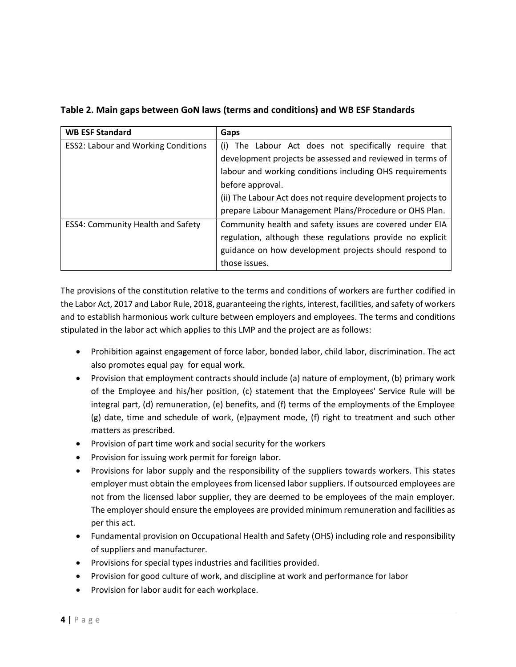| <b>WB ESF Standard</b>                     | Gaps                                                         |
|--------------------------------------------|--------------------------------------------------------------|
| <b>ESS2: Labour and Working Conditions</b> | (i) The Labour Act does not specifically require that        |
|                                            | development projects be assessed and reviewed in terms of    |
|                                            | labour and working conditions including OHS requirements     |
|                                            | before approval.                                             |
|                                            | (ii) The Labour Act does not require development projects to |
|                                            | prepare Labour Management Plans/Procedure or OHS Plan.       |
| <b>ESS4: Community Health and Safety</b>   | Community health and safety issues are covered under EIA     |
|                                            | regulation, although these regulations provide no explicit   |
|                                            | guidance on how development projects should respond to       |
|                                            | those issues.                                                |

#### **Table 2. Main gaps between GoN laws (terms and conditions) and WB ESF Standards**

The provisions of the constitution relative to the terms and conditions of workers are further codified in the Labor Act, 2017 and Labor Rule, 2018, guaranteeing the rights, interest, facilities, and safety of workers and to establish harmonious work culture between employers and employees. The terms and conditions stipulated in the labor act which applies to this LMP and the project are as follows:

- Prohibition against engagement of force labor, bonded labor, child labor, discrimination. The act also promotes equal pay for equal work.
- Provision that employment contracts should include (a) nature of employment, (b) primary work of the Employee and his/her position, (c) statement that the Employees' Service Rule will be integral part, (d) remuneration, (e) benefits, and (f) terms of the employments of the Employee (g) date, time and schedule of work, (e)payment mode, (f) right to treatment and such other matters as prescribed.
- Provision of part time work and social security for the workers
- Provision for issuing work permit for foreign labor.
- Provisions for labor supply and the responsibility of the suppliers towards workers. This states employer must obtain the employees from licensed labor suppliers. If outsourced employees are not from the licensed labor supplier, they are deemed to be employees of the main employer. The employer should ensure the employees are provided minimum remuneration and facilities as per this act.
- Fundamental provision on Occupational Health and Safety (OHS) including role and responsibility of suppliers and manufacturer.
- Provisions for special types industries and facilities provided.
- Provision for good culture of work, and discipline at work and performance for labor
- Provision for labor audit for each workplace.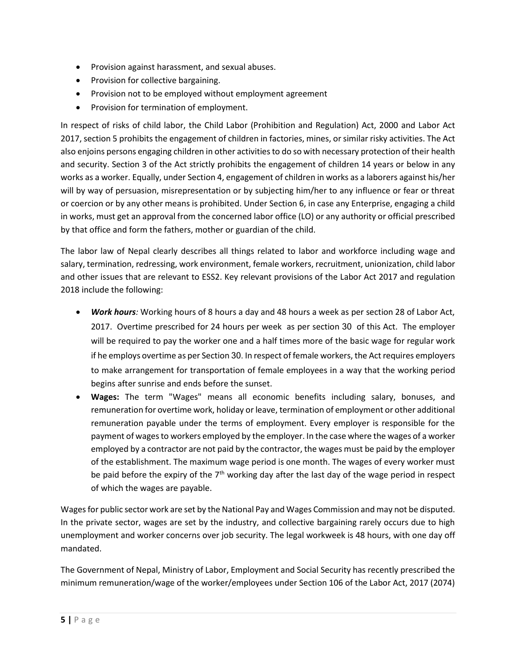- Provision against harassment, and sexual abuses.
- Provision for collective bargaining.
- Provision not to be employed without employment agreement
- Provision for termination of employment.

In respect of risks of child labor, the Child Labor (Prohibition and Regulation) Act, 2000 and Labor Act 2017, section 5 prohibits the engagement of children in factories, mines, or similar risky activities. The Act also enjoins persons engaging children in other activities to do so with necessary protection of their health and security. Section 3 of the Act strictly prohibits the engagement of children 14 years or below in any works as a worker. Equally, under Section 4, engagement of children in works as a laborers against his/her will by way of persuasion, misrepresentation or by subjecting him/her to any influence or fear or threat or coercion or by any other means is prohibited. Under Section 6, in case any Enterprise, engaging a child in works, must get an approval from the concerned labor office (LO) or any authority or official prescribed by that office and form the fathers, mother or guardian of the child.

The labor law of Nepal clearly describes all things related to labor and workforce including wage and salary, termination, redressing, work environment, female workers, recruitment, unionization, child labor and other issues that are relevant to ESS2. Key relevant provisions of the Labor Act 2017 and regulation 2018 include the following:

- *Work hours:* Working hours of 8 hours a day and 48 hours a week as per section 28 of Labor Act, 2017. Overtime prescribed for 24 hours per week as per section 30 of this Act. The employer will be required to pay the worker one and a half times more of the basic wage for regular work if he employs overtime as per Section 30. In respect of female workers, the Act requires employers to make arrangement for transportation of female employees in a way that the working period begins after sunrise and ends before the sunset.
- **Wages:** The term "Wages" means all economic benefits including salary, bonuses, and remuneration for overtime work, holiday or leave, termination of employment or other additional remuneration payable under the terms of employment. Every employer is responsible for the payment of wages to workers employed by the employer. In the case where the wages of a worker employed by a contractor are not paid by the contractor, the wages must be paid by the employer of the establishment. The maximum wage period is one month. The wages of every worker must be paid before the expiry of the  $7<sup>th</sup>$  working day after the last day of the wage period in respect of which the wages are payable.

Wages for public sector work are set by the National Pay and Wages Commission and may not be disputed. In the private sector, wages are set by the industry, and collective bargaining rarely occurs due to high unemployment and worker concerns over job security. The legal workweek is 48 hours, with one day off mandated.

The Government of Nepal, Ministry of Labor, Employment and Social Security has recently prescribed the minimum remuneration/wage of the worker/employees under Section 106 of the Labor Act, 2017 (2074)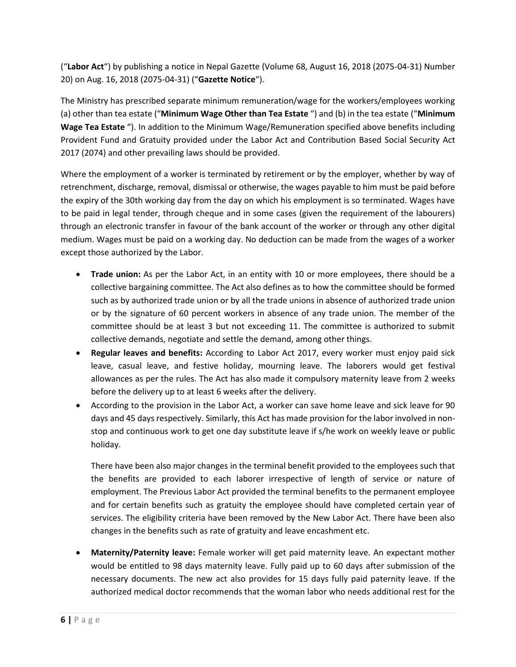("**Labor Act**") by publishing a notice in Nepal Gazette (Volume 68, August 16, 2018 (2075-04-31) Number 20) on Aug. 16, 2018 (2075-04-31) ("**Gazette Notice**").

The Ministry has prescribed separate minimum remuneration/wage for the workers/employees working (a) other than tea estate ("**Minimum Wage Other than Tea Estate** ") and (b) in the tea estate ("**Minimum Wage Tea Estate** "). In addition to the Minimum Wage/Remuneration specified above benefits including Provident Fund and Gratuity provided under the Labor Act and Contribution Based Social Security Act 2017 (2074) and other prevailing laws should be provided.

Where the employment of a worker is terminated by retirement or by the employer, whether by way of retrenchment, discharge, removal, dismissal or otherwise, the wages payable to him must be paid before the expiry of the 30th working day from the day on which his employment is so terminated. Wages have to be paid in legal tender, through cheque and in some cases (given the requirement of the labourers) through an electronic transfer in favour of the bank account of the worker or through any other digital medium. Wages must be paid on a working day. No deduction can be made from the wages of a worker except those authorized by the Labor.

- **Trade union:** As per the Labor Act, in an entity with 10 or more employees, there should be a collective bargaining committee. The Act also defines as to how the committee should be formed such as by authorized trade union or by all the trade unions in absence of authorized trade union or by the signature of 60 percent workers in absence of any trade union. The member of the committee should be at least 3 but not exceeding 11. The committee is authorized to submit collective demands, negotiate and settle the demand, among other things.
- **Regular leaves and benefits:** According to Labor Act 2017, every worker must enjoy paid sick leave, casual leave, and festive holiday, mourning leave. The laborers would get festival allowances as per the rules. The Act has also made it compulsory maternity leave from 2 weeks before the delivery up to at least 6 weeks after the delivery.
- According to the provision in the Labor Act, a worker can save home leave and sick leave for 90 days and 45 days respectively. Similarly, this Act has made provision for the labor involved in nonstop and continuous work to get one day substitute leave if s/he work on weekly leave or public holiday.

There have been also major changes in the terminal benefit provided to the employees such that the benefits are provided to each laborer irrespective of length of service or nature of employment. The Previous Labor Act provided the terminal benefits to the permanent employee and for certain benefits such as gratuity the employee should have completed certain year of services. The eligibility criteria have been removed by the New Labor Act. There have been also changes in the benefits such as rate of gratuity and leave encashment etc.

• **Maternity/Paternity leave:** Female worker will get paid maternity leave. An expectant mother would be entitled to 98 days maternity leave. Fully paid up to 60 days after submission of the necessary documents. The new act also provides for 15 days fully paid paternity leave. If the authorized medical doctor recommends that the woman labor who needs additional rest for the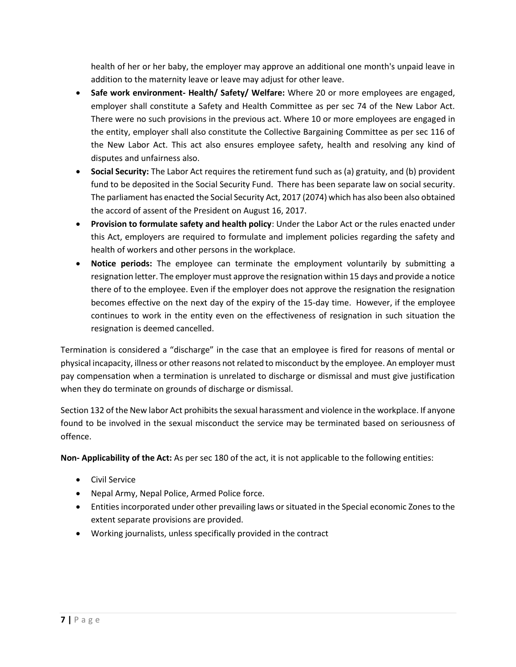health of her or her baby, the employer may approve an additional one month's unpaid leave in addition to the maternity leave or leave may adjust for other leave.

- **Safe work environment- Health/ Safety/ Welfare:** Where 20 or more employees are engaged, employer shall constitute a Safety and Health Committee as per sec 74 of the New Labor Act. There were no such provisions in the previous act. Where 10 or more employees are engaged in the entity, employer shall also constitute the Collective Bargaining Committee as per sec 116 of the New Labor Act. This act also ensures employee safety, health and resolving any kind of disputes and unfairness also.
- **Social Security:** The Labor Act requires the retirement fund such as (a) gratuity, and (b) provident fund to be deposited in the Social Security Fund. There has been separate law on social security. The parliament has enacted the Social Security Act, 2017 (2074) which has also been also obtained the accord of assent of the President on August 16, 2017.
- **Provision to formulate safety and health policy**: Under the Labor Act or the rules enacted under this Act, employers are required to formulate and implement policies regarding the safety and health of workers and other persons in the workplace.
- **Notice periods:** The employee can terminate the employment voluntarily by submitting a resignation letter. The employer must approve the resignation within 15 days and provide a notice there of to the employee. Even if the employer does not approve the resignation the resignation becomes effective on the next day of the expiry of the 15-day time. However, if the employee continues to work in the entity even on the effectiveness of resignation in such situation the resignation is deemed cancelled.

Termination is considered a "discharge" in the case that an employee is fired for reasons of mental or physical incapacity, illness or other reasons not related to misconduct by the employee. An employer must pay compensation when a termination is unrelated to discharge or dismissal and must give justification when they do terminate on grounds of discharge or dismissal.

Section 132 of the New labor Act prohibits the sexual harassment and violence in the workplace. If anyone found to be involved in the sexual misconduct the service may be terminated based on seriousness of offence.

**Non- Applicability of the Act:** As per sec 180 of the act, it is not applicable to the following entities:

- Civil Service
- Nepal Army, Nepal Police, Armed Police force.
- Entities incorporated under other prevailing laws or situated in the Special economic Zones to the extent separate provisions are provided.
- Working journalists, unless specifically provided in the contract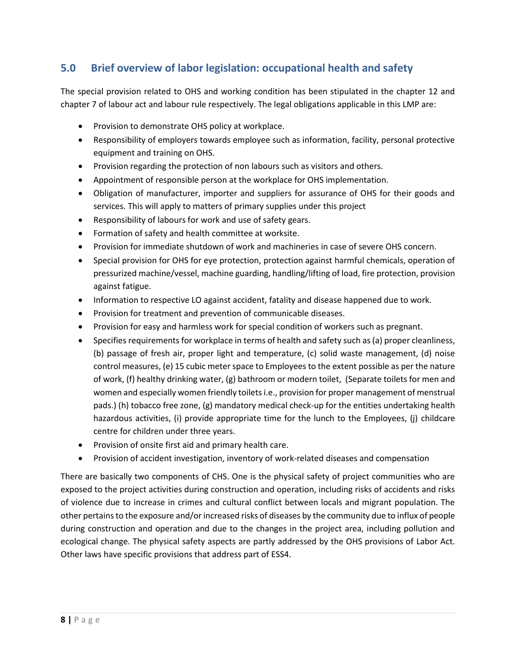## <span id="page-14-0"></span>**5.0 Brief overview of labor legislation: occupational health and safety**

The special provision related to OHS and working condition has been stipulated in the chapter 12 and chapter 7 of labour act and labour rule respectively. The legal obligations applicable in this LMP are:

- Provision to demonstrate OHS policy at workplace.
- Responsibility of employers towards employee such as information, facility, personal protective equipment and training on OHS.
- Provision regarding the protection of non labours such as visitors and others.
- Appointment of responsible person at the workplace for OHS implementation.
- Obligation of manufacturer, importer and suppliers for assurance of OHS for their goods and services. This will apply to matters of primary supplies under this project
- Responsibility of labours for work and use of safety gears.
- Formation of safety and health committee at worksite.
- Provision for immediate shutdown of work and machineries in case of severe OHS concern.
- Special provision for OHS for eye protection, protection against harmful chemicals, operation of pressurized machine/vessel, machine guarding, handling/lifting of load, fire protection, provision against fatigue.
- Information to respective LO against accident, fatality and disease happened due to work.
- Provision for treatment and prevention of communicable diseases.
- Provision for easy and harmless work for special condition of workers such as pregnant.
- Specifies requirements for workplace in terms of health and safety such as (a) proper cleanliness, (b) passage of fresh air, proper light and temperature, (c) solid waste management, (d) noise control measures, (e) 15 cubic meter space to Employees to the extent possible as per the nature of work, (f) healthy drinking water, (g) bathroom or modern toilet, (Separate toilets for men and women and especially women friendly toilets i.e., provision for proper management of menstrual pads.) (h) tobacco free zone, (g) mandatory medical check-up for the entities undertaking health hazardous activities, (i) provide appropriate time for the lunch to the Employees, (j) childcare centre for children under three years.
- Provision of onsite first aid and primary health care.
- Provision of accident investigation, inventory of work-related diseases and compensation

There are basically two components of CHS. One is the physical safety of project communities who are exposed to the project activities during construction and operation, including risks of accidents and risks of violence due to increase in crimes and cultural conflict between locals and migrant population. The other pertains to the exposure and/or increased risks of diseases by the community due to influx of people during construction and operation and due to the changes in the project area, including pollution and ecological change. The physical safety aspects are partly addressed by the OHS provisions of Labor Act. Other laws have specific provisions that address part of ESS4.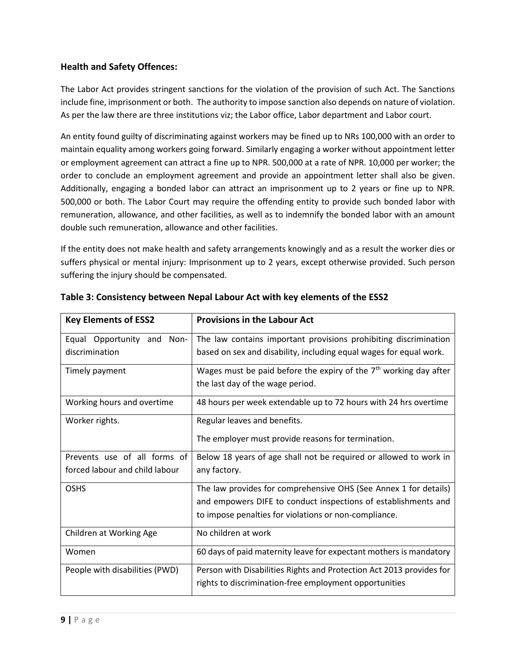#### **Health and Safety Offences:**

The Labor Act provides stringent sanctions for the violation of the provision of such Act. The Sanctions include fine, imprisonment or both. The authority to impose sanction also depends on nature of violation. As per the law there are three institutions viz; the Labor office, Labor department and Labor court.

An entity found guilty of discriminating against workers may be fined up to NRs 100,000 with an order to maintain equality among workers going forward. Similarly engaging a worker without appointment letter or employment agreement can attract a fine up to NPR. 500,000 at a rate of NPR. 10,000 per worker; the order to conclude an employment agreement and provide an appointment letter shall also be given. Additionally, engaging a bonded labor can attract an imprisonment up to 2 years or fine up to NPR. 500,000 or both. The Labor Court may require the offending entity to provide such bonded labor with remuneration, allowance, and other facilities, as well as to indemnify the bonded labor with an amount double such remuneration, allowance and other facilities.

If the entity does not make health and safety arrangements knowingly and as a result the worker dies or suffers physical or mental injury: Imprisonment up to 2 years, except otherwise provided. Such person suffering the injury should be compensated.

| <b>Key Elements of ESS2</b>    | <b>Provisions in the Labour Act</b>                                  |
|--------------------------------|----------------------------------------------------------------------|
| Equal Opportunity and<br>Non-  | The law contains important provisions prohibiting discrimination     |
| discrimination                 | based on sex and disability, including equal wages for equal work.   |
| Timely payment                 | Wages must be paid before the expiry of the $7th$ working day after  |
|                                | the last day of the wage period.                                     |
| Working hours and overtime     | 48 hours per week extendable up to 72 hours with 24 hrs overtime     |
| Worker rights.                 | Regular leaves and benefits.                                         |
|                                | The employer must provide reasons for termination.                   |
| Prevents use of all forms of   | Below 18 years of age shall not be required or allowed to work in    |
| forced labour and child labour | any factory.                                                         |
| <b>OSHS</b>                    | The law provides for comprehensive OHS (See Annex 1 for details)     |
|                                | and empowers DIFE to conduct inspections of establishments and       |
|                                | to impose penalties for violations or non-compliance.                |
| Children at Working Age        | No children at work                                                  |
| Women                          | 60 days of paid maternity leave for expectant mothers is mandatory   |
| People with disabilities (PWD) | Person with Disabilities Rights and Protection Act 2013 provides for |
|                                | rights to discrimination-free employment opportunities               |

**Table 3: Consistency between Nepal Labour Act with key elements of the ESS2**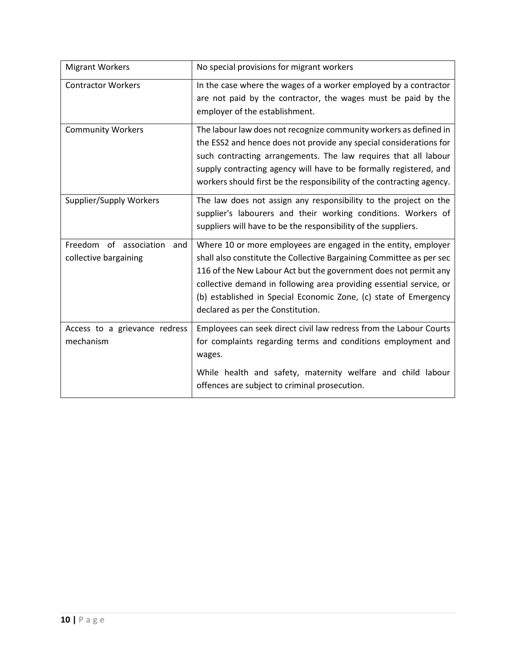| <b>Migrant Workers</b>                                 | No special provisions for migrant workers                                                                                                                                                                                                                                                                                                                                                  |
|--------------------------------------------------------|--------------------------------------------------------------------------------------------------------------------------------------------------------------------------------------------------------------------------------------------------------------------------------------------------------------------------------------------------------------------------------------------|
| <b>Contractor Workers</b>                              | In the case where the wages of a worker employed by a contractor<br>are not paid by the contractor, the wages must be paid by the<br>employer of the establishment.                                                                                                                                                                                                                        |
| <b>Community Workers</b>                               | The labour law does not recognize community workers as defined in<br>the ESS2 and hence does not provide any special considerations for<br>such contracting arrangements. The law requires that all labour<br>supply contracting agency will have to be formally registered, and<br>workers should first be the responsibility of the contracting agency.                                  |
| Supplier/Supply Workers                                | The law does not assign any responsibility to the project on the<br>supplier's labourers and their working conditions. Workers of<br>suppliers will have to be the responsibility of the suppliers.                                                                                                                                                                                        |
| Freedom of association<br>and<br>collective bargaining | Where 10 or more employees are engaged in the entity, employer<br>shall also constitute the Collective Bargaining Committee as per sec<br>116 of the New Labour Act but the government does not permit any<br>collective demand in following area providing essential service, or<br>(b) established in Special Economic Zone, (c) state of Emergency<br>declared as per the Constitution. |
| Access to a grievance redress<br>mechanism             | Employees can seek direct civil law redress from the Labour Courts<br>for complaints regarding terms and conditions employment and<br>wages.<br>While health and safety, maternity welfare and child labour<br>offences are subject to criminal prosecution.                                                                                                                               |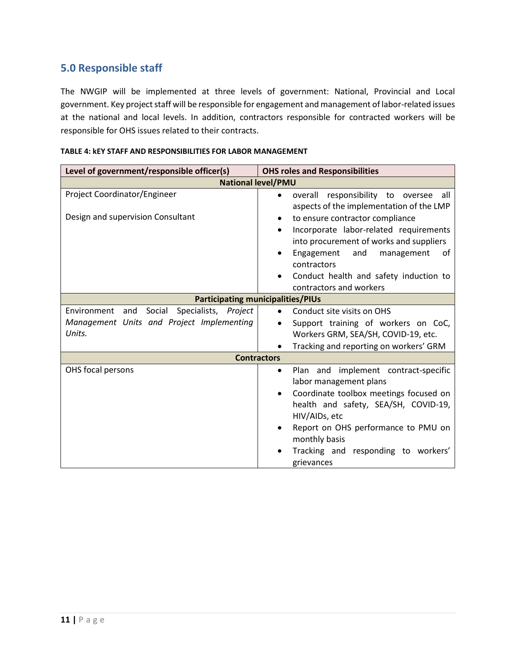## <span id="page-17-0"></span>**5.0 Responsible staff**

The NWGIP will be implemented at three levels of government: National, Provincial and Local government. Key project staff will be responsible for engagement and management of labor-related issues at the national and local levels. In addition, contractors responsible for contracted workers will be responsible for OHS issues related to their contracts.

| Level of government/responsible officer(s)                                                                  | <b>OHS roles and Responsibilities</b>                                                                                                                                                                                                                                                                                 |  |  |
|-------------------------------------------------------------------------------------------------------------|-----------------------------------------------------------------------------------------------------------------------------------------------------------------------------------------------------------------------------------------------------------------------------------------------------------------------|--|--|
| <b>National level/PMU</b>                                                                                   |                                                                                                                                                                                                                                                                                                                       |  |  |
| Project Coordinator/Engineer                                                                                | overall responsibility to oversee all<br>$\bullet$<br>aspects of the implementation of the LMP                                                                                                                                                                                                                        |  |  |
| Design and supervision Consultant                                                                           | to ensure contractor compliance<br>$\bullet$<br>Incorporate labor-related requirements<br>$\bullet$<br>into procurement of works and suppliers<br>Engagement<br>and<br>management<br>οf<br>contractors<br>Conduct health and safety induction to<br>contractors and workers                                           |  |  |
| <b>Participating municipalities/PIUs</b>                                                                    |                                                                                                                                                                                                                                                                                                                       |  |  |
| Specialists, Project<br>Social<br>Environment<br>and<br>Management Units and Project Implementing<br>Units. | Conduct site visits on OHS<br>Support training of workers on CoC,<br>$\bullet$<br>Workers GRM, SEA/SH, COVID-19, etc.<br>Tracking and reporting on workers' GRM                                                                                                                                                       |  |  |
| <b>Contractors</b>                                                                                          |                                                                                                                                                                                                                                                                                                                       |  |  |
| OHS focal persons                                                                                           | Plan and implement contract-specific<br>$\bullet$<br>labor management plans<br>Coordinate toolbox meetings focused on<br>$\bullet$<br>health and safety, SEA/SH, COVID-19,<br>HIV/AIDs, etc<br>Report on OHS performance to PMU on<br>$\bullet$<br>monthly basis<br>Tracking and responding to workers'<br>grievances |  |  |

#### **TABLE 4: kEY STAFF AND RESPONSIBILITIES FOR LABOR MANAGEMENT**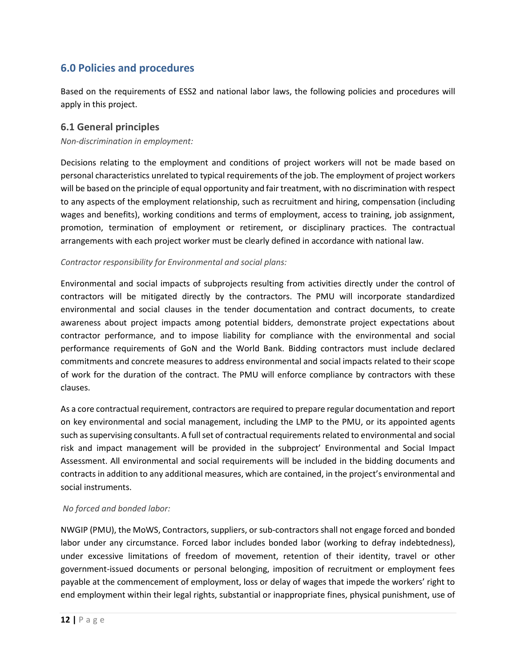## <span id="page-18-0"></span>**6.0 Policies and procedures**

Based on the requirements of ESS2 and national labor laws, the following policies and procedures will apply in this project.

#### <span id="page-18-1"></span>**6.1 General principles**

*Non-discrimination in employment:*

Decisions relating to the employment and conditions of project workers will not be made based on personal characteristics unrelated to typical requirements of the job. The employment of project workers will be based on the principle of equal opportunity and fair treatment, with no discrimination with respect to any aspects of the employment relationship, such as recruitment and hiring, compensation (including wages and benefits), working conditions and terms of employment, access to training, job assignment, promotion, termination of employment or retirement, or disciplinary practices. The contractual arrangements with each project worker must be clearly defined in accordance with national law.

#### *Contractor responsibility for Environmental and social plans:*

Environmental and social impacts of subprojects resulting from activities directly under the control of contractors will be mitigated directly by the contractors. The PMU will incorporate standardized environmental and social clauses in the tender documentation and contract documents, to create awareness about project impacts among potential bidders, demonstrate project expectations about contractor performance, and to impose liability for compliance with the environmental and social performance requirements of GoN and the World Bank. Bidding contractors must include declared commitments and concrete measures to address environmental and social impacts related to their scope of work for the duration of the contract. The PMU will enforce compliance by contractors with these clauses.

As a core contractual requirement, contractors are required to prepare regular documentation and report on key environmental and social management, including the LMP to the PMU, or its appointed agents such as supervising consultants. A full set of contractual requirements related to environmental and social risk and impact management will be provided in the subproject' Environmental and Social Impact Assessment. All environmental and social requirements will be included in the bidding documents and contracts in addition to any additional measures, which are contained, in the project's environmental and social instruments.

#### *No forced and bonded labor:*

NWGIP (PMU), the MoWS, Contractors, suppliers, or sub-contractors shall not engage forced and bonded labor under any circumstance. Forced labor includes bonded labor (working to defray indebtedness), under excessive limitations of freedom of movement, retention of their identity, travel or other government-issued documents or personal belonging, imposition of recruitment or employment fees payable at the commencement of employment, loss or delay of wages that impede the workers' right to end employment within their legal rights, substantial or inappropriate fines, physical punishment, use of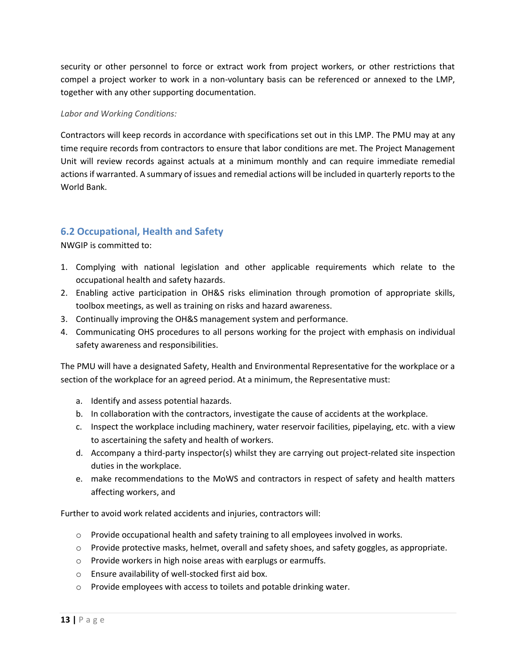security or other personnel to force or extract work from project workers, or other restrictions that compel a project worker to work in a non-voluntary basis can be referenced or annexed to the LMP, together with any other supporting documentation.

#### *Labor and Working Conditions:*

Contractors will keep records in accordance with specifications set out in this LMP. The PMU may at any time require records from contractors to ensure that labor conditions are met. The Project Management Unit will review records against actuals at a minimum monthly and can require immediate remedial actions if warranted. A summary of issues and remedial actions will be included in quarterly reports to the World Bank.

## <span id="page-19-0"></span>**6.2 Occupational, Health and Safety**

NWGIP is committed to:

- 1. Complying with national legislation and other applicable requirements which relate to the occupational health and safety hazards.
- 2. Enabling active participation in OH&S risks elimination through promotion of appropriate skills, toolbox meetings, as well as training on risks and hazard awareness.
- 3. Continually improving the OH&S management system and performance.
- 4. Communicating OHS procedures to all persons working for the project with emphasis on individual safety awareness and responsibilities.

The PMU will have a designated Safety, Health and Environmental Representative for the workplace or a section of the workplace for an agreed period. At a minimum, the Representative must:

- a. Identify and assess potential hazards.
- b. In collaboration with the contractors, investigate the cause of accidents at the workplace.
- c. Inspect the workplace including machinery, water reservoir facilities, pipelaying, etc. with a view to ascertaining the safety and health of workers.
- d. Accompany a third-party inspector(s) whilst they are carrying out project-related site inspection duties in the workplace.
- e. make recommendations to the MoWS and contractors in respect of safety and health matters affecting workers, and

Further to avoid work related accidents and injuries, contractors will:

- $\circ$  Provide occupational health and safety training to all employees involved in works.
- $\circ$  Provide protective masks, helmet, overall and safety shoes, and safety goggles, as appropriate.
- o Provide workers in high noise areas with earplugs or earmuffs.
- o Ensure availability of well-stocked first aid box.
- o Provide employees with access to toilets and potable drinking water.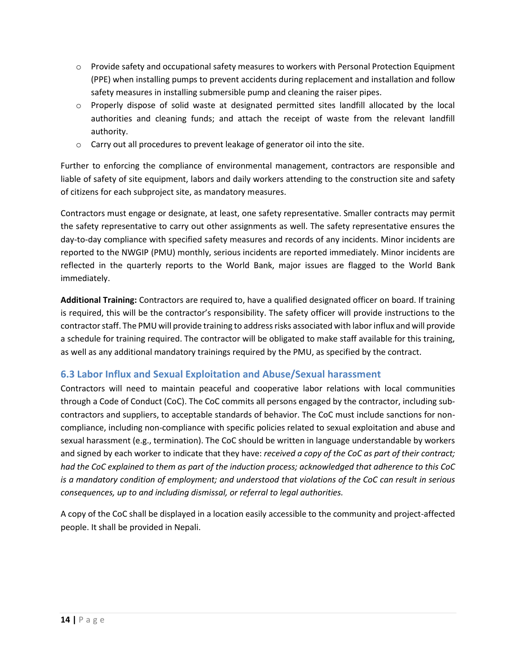- $\circ$  Provide safety and occupational safety measures to workers with Personal Protection Equipment (PPE) when installing pumps to prevent accidents during replacement and installation and follow safety measures in installing submersible pump and cleaning the raiser pipes.
- o Properly dispose of solid waste at designated permitted sites landfill allocated by the local authorities and cleaning funds; and attach the receipt of waste from the relevant landfill authority.
- $\circ$  Carry out all procedures to prevent leakage of generator oil into the site.

Further to enforcing the compliance of environmental management, contractors are responsible and liable of safety of site equipment, labors and daily workers attending to the construction site and safety of citizens for each subproject site, as mandatory measures.

Contractors must engage or designate, at least, one safety representative. Smaller contracts may permit the safety representative to carry out other assignments as well. The safety representative ensures the day-to-day compliance with specified safety measures and records of any incidents. Minor incidents are reported to the NWGIP (PMU) monthly, serious incidents are reported immediately. Minor incidents are reflected in the quarterly reports to the World Bank, major issues are flagged to the World Bank immediately.

**Additional Training:** Contractors are required to, have a qualified designated officer on board. If training is required, this will be the contractor's responsibility. The safety officer will provide instructions to the contractor staff. The PMU will provide training to address risks associated with labor influx and will provide a schedule for training required. The contractor will be obligated to make staff available for this training, as well as any additional mandatory trainings required by the PMU, as specified by the contract.

## <span id="page-20-0"></span>**6.3 Labor Influx and Sexual Exploitation and Abuse/Sexual harassment**

Contractors will need to maintain peaceful and cooperative labor relations with local communities through a Code of Conduct (CoC). The CoC commits all persons engaged by the contractor, including subcontractors and suppliers, to acceptable standards of behavior. The CoC must include sanctions for noncompliance, including non-compliance with specific policies related to sexual exploitation and abuse and sexual harassment (e.g., termination). The CoC should be written in language understandable by workers and signed by each worker to indicate that they have: *received a copy of the CoC as part of their contract; had the CoC explained to them as part of the induction process; acknowledged that adherence to this CoC is a mandatory condition of employment; and understood that violations of the CoC can result in serious consequences, up to and including dismissal, or referral to legal authorities.* 

A copy of the CoC shall be displayed in a location easily accessible to the community and project-affected people. It shall be provided in Nepali.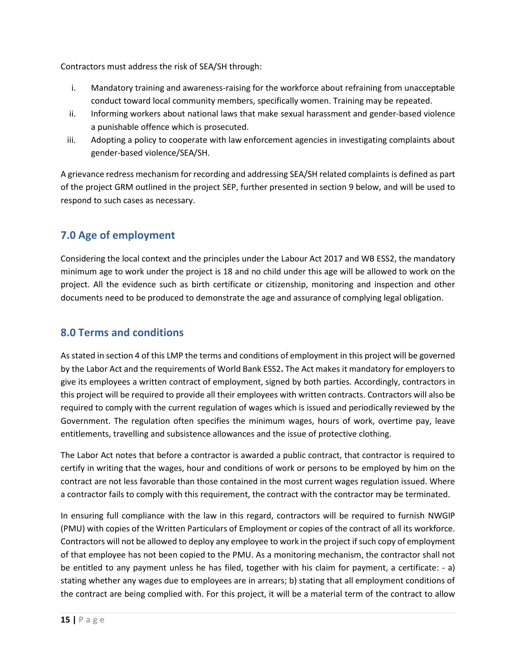Contractors must address the risk of SEA/SH through:

- i. Mandatory training and awareness-raising for the workforce about refraining from unacceptable conduct toward local community members, specifically women. Training may be repeated.
- ii. Informing workers about national laws that make sexual harassment and gender-based violence a punishable offence which is prosecuted.
- iii. Adopting a policy to cooperate with law enforcement agencies in investigating complaints about gender-based violence/SEA/SH.

A grievance redress mechanism for recording and addressing SEA/SH related complaints is defined as part of the project GRM outlined in the project SEP, further presented in section 9 below, and will be used to respond to such cases as necessary.

## <span id="page-21-0"></span>**7.0 Age of employment**

Considering the local context and the principles under the Labour Act 2017 and WB ESS2, the mandatory minimum age to work under the project is 18 and no child under this age will be allowed to work on the project. All the evidence such as birth certificate or citizenship, monitoring and inspection and other documents need to be produced to demonstrate the age and assurance of complying legal obligation.

## <span id="page-21-1"></span>**8.0 Terms and conditions**

As stated in section 4 of this LMP the terms and conditions of employment in this project will be governed by the Labor Act and the requirements of World Bank ESS2**.** The Act makes it mandatory for employers to give its employees a written contract of employment, signed by both parties. Accordingly, contractors in this project will be required to provide all their employees with written contracts. Contractors will also be required to comply with the current regulation of wages which is issued and periodically reviewed by the Government. The regulation often specifies the minimum wages, hours of work, overtime pay, leave entitlements, travelling and subsistence allowances and the issue of protective clothing.

The Labor Act notes that before a contractor is awarded a public contract, that contractor is required to certify in writing that the wages, hour and conditions of work or persons to be employed by him on the contract are not less favorable than those contained in the most current wages regulation issued. Where a contractor fails to comply with this requirement, the contract with the contractor may be terminated.

In ensuring full compliance with the law in this regard, contractors will be required to furnish NWGIP (PMU) with copies of the Written Particulars of Employment or copies of the contract of all its workforce. Contractors will not be allowed to deploy any employee to work in the project if such copy of employment of that employee has not been copied to the PMU. As a monitoring mechanism, the contractor shall not be entitled to any payment unless he has filed, together with his claim for payment, a certificate: - a) stating whether any wages due to employees are in arrears; b) stating that all employment conditions of the contract are being complied with. For this project, it will be a material term of the contract to allow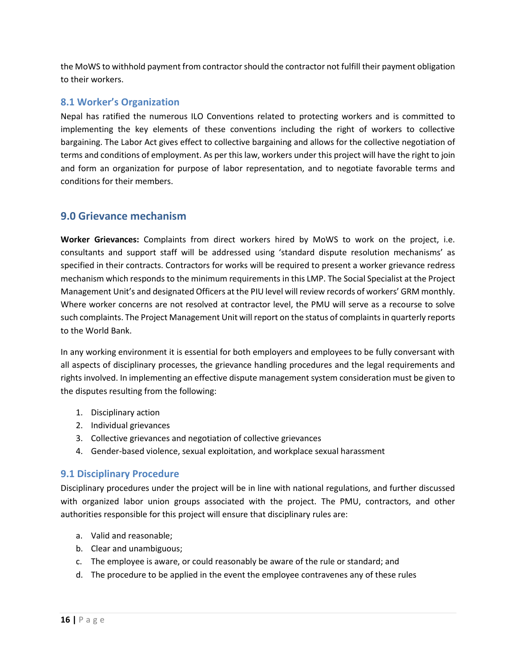the MoWS to withhold payment from contractor should the contractor not fulfill their payment obligation to their workers.

#### <span id="page-22-0"></span>**8.1 Worker's Organization**

Nepal has ratified the numerous ILO Conventions related to protecting workers and is committed to implementing the key elements of these conventions including the right of workers to collective bargaining. The Labor Act gives effect to collective bargaining and allows for the collective negotiation of terms and conditions of employment. As per this law, workers under this project will have the right to join and form an organization for purpose of labor representation, and to negotiate favorable terms and conditions for their members.

## <span id="page-22-1"></span>**9.0 Grievance mechanism**

**Worker Grievances:** Complaints from direct workers hired by MoWS to work on the project, i.e. consultants and support staff will be addressed using 'standard dispute resolution mechanisms' as specified in their contracts. Contractors for works will be required to present a worker grievance redress mechanism which responds to the minimum requirements in this LMP. The Social Specialist at the Project Management Unit's and designated Officers at the PIU level will review records of workers' GRM monthly. Where worker concerns are not resolved at contractor level, the PMU will serve as a recourse to solve such complaints. The Project Management Unit will report on the status of complaints in quarterly reports to the World Bank.

In any working environment it is essential for both employers and employees to be fully conversant with all aspects of disciplinary processes, the grievance handling procedures and the legal requirements and rights involved. In implementing an effective dispute management system consideration must be given to the disputes resulting from the following:

- 1. Disciplinary action
- 2. Individual grievances
- 3. Collective grievances and negotiation of collective grievances
- 4. Gender-based violence, sexual exploitation, and workplace sexual harassment

#### <span id="page-22-2"></span>**9.1 Disciplinary Procedure**

Disciplinary procedures under the project will be in line with national regulations, and further discussed with organized labor union groups associated with the project. The PMU, contractors, and other authorities responsible for this project will ensure that disciplinary rules are:

- a. Valid and reasonable;
- b. Clear and unambiguous;
- c. The employee is aware, or could reasonably be aware of the rule or standard; and
- d. The procedure to be applied in the event the employee contravenes any of these rules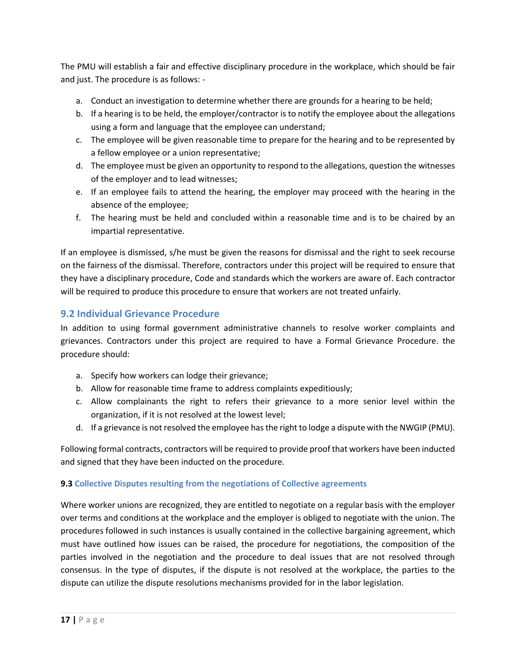The PMU will establish a fair and effective disciplinary procedure in the workplace, which should be fair and just. The procedure is as follows: -

- a. Conduct an investigation to determine whether there are grounds for a hearing to be held;
- b. If a hearing is to be held, the employer/contractor is to notify the employee about the allegations using a form and language that the employee can understand;
- c. The employee will be given reasonable time to prepare for the hearing and to be represented by a fellow employee or a union representative;
- d. The employee must be given an opportunity to respond to the allegations, question the witnesses of the employer and to lead witnesses;
- e. If an employee fails to attend the hearing, the employer may proceed with the hearing in the absence of the employee;
- f. The hearing must be held and concluded within a reasonable time and is to be chaired by an impartial representative.

If an employee is dismissed, s/he must be given the reasons for dismissal and the right to seek recourse on the fairness of the dismissal. Therefore, contractors under this project will be required to ensure that they have a disciplinary procedure, Code and standards which the workers are aware of. Each contractor will be required to produce this procedure to ensure that workers are not treated unfairly.

## <span id="page-23-0"></span>**9.2 Individual Grievance Procedure**

In addition to using formal government administrative channels to resolve worker complaints and grievances. Contractors under this project are required to have a Formal Grievance Procedure. the procedure should:

- a. Specify how workers can lodge their grievance;
- b. Allow for reasonable time frame to address complaints expeditiously;
- c. Allow complainants the right to refers their grievance to a more senior level within the organization, if it is not resolved at the lowest level;
- d. If a grievance is not resolved the employee has the right to lodge a dispute with the NWGIP (PMU).

Following formal contracts, contractors will be required to provide proof that workers have been inducted and signed that they have been inducted on the procedure.

#### **9.3 Collective Disputes resulting from the negotiations of Collective agreements**

Where worker unions are recognized, they are entitled to negotiate on a regular basis with the employer over terms and conditions at the workplace and the employer is obliged to negotiate with the union. The procedures followed in such instances is usually contained in the collective bargaining agreement, which must have outlined how issues can be raised, the procedure for negotiations, the composition of the parties involved in the negotiation and the procedure to deal issues that are not resolved through consensus. In the type of disputes, if the dispute is not resolved at the workplace, the parties to the dispute can utilize the dispute resolutions mechanisms provided for in the labor legislation.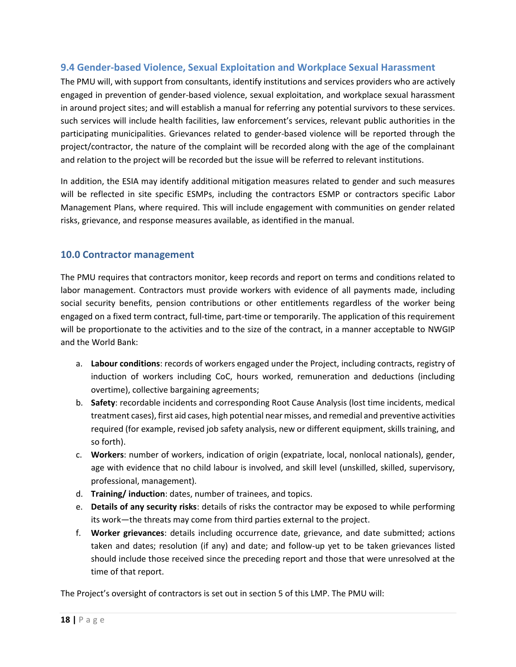### <span id="page-24-0"></span>**9.4 Gender-based Violence, Sexual Exploitation and Workplace Sexual Harassment**

The PMU will, with support from consultants, identify institutions and services providers who are actively engaged in prevention of gender-based violence, sexual exploitation, and workplace sexual harassment in around project sites; and will establish a manual for referring any potential survivors to these services. such services will include health facilities, law enforcement's services, relevant public authorities in the participating municipalities. Grievances related to gender-based violence will be reported through the project/contractor, the nature of the complaint will be recorded along with the age of the complainant and relation to the project will be recorded but the issue will be referred to relevant institutions.

In addition, the ESIA may identify additional mitigation measures related to gender and such measures will be reflected in site specific ESMPs, including the contractors ESMP or contractors specific Labor Management Plans, where required. This will include engagement with communities on gender related risks, grievance, and response measures available, as identified in the manual.

#### <span id="page-24-1"></span>**10.0 Contractor management**

The PMU requires that contractors monitor, keep records and report on terms and conditions related to labor management. Contractors must provide workers with evidence of all payments made, including social security benefits, pension contributions or other entitlements regardless of the worker being engaged on a fixed term contract, full-time, part-time or temporarily. The application of this requirement will be proportionate to the activities and to the size of the contract, in a manner acceptable to NWGIP and the World Bank:

- a. **Labour conditions**: records of workers engaged under the Project, including contracts, registry of induction of workers including CoC, hours worked, remuneration and deductions (including overtime), collective bargaining agreements;
- b. **Safety**: recordable incidents and corresponding Root Cause Analysis (lost time incidents, medical treatment cases), first aid cases, high potential near misses, and remedial and preventive activities required (for example, revised job safety analysis, new or different equipment, skills training, and so forth).
- c. **Workers**: number of workers, indication of origin (expatriate, local, nonlocal nationals), gender, age with evidence that no child labour is involved, and skill level (unskilled, skilled, supervisory, professional, management).
- d. **Training/ induction**: dates, number of trainees, and topics.
- e. **Details of any security risks**: details of risks the contractor may be exposed to while performing its work—the threats may come from third parties external to the project.
- f. **Worker grievances**: details including occurrence date, grievance, and date submitted; actions taken and dates; resolution (if any) and date; and follow-up yet to be taken grievances listed should include those received since the preceding report and those that were unresolved at the time of that report.

The Project's oversight of contractors is set out in section 5 of this LMP. The PMU will: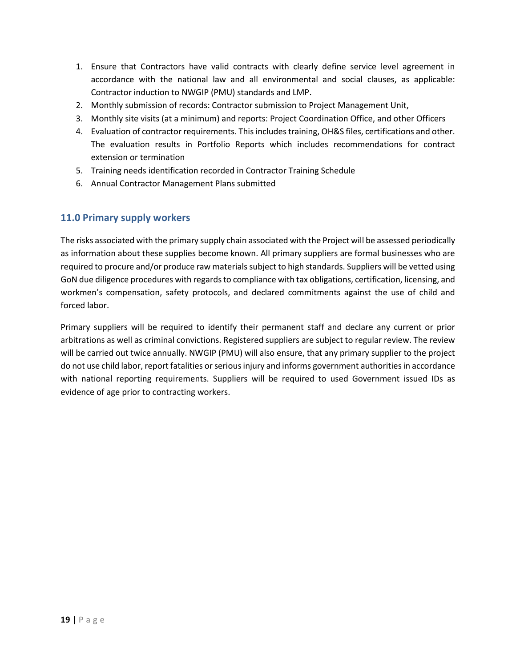- 1. Ensure that Contractors have valid contracts with clearly define service level agreement in accordance with the national law and all environmental and social clauses, as applicable: Contractor induction to NWGIP (PMU) standards and LMP.
- 2. Monthly submission of records: Contractor submission to Project Management Unit,
- 3. Monthly site visits (at a minimum) and reports: Project Coordination Office, and other Officers
- 4. Evaluation of contractor requirements. This includes training, OH&S files, certifications and other. The evaluation results in Portfolio Reports which includes recommendations for contract extension or termination
- 5. Training needs identification recorded in Contractor Training Schedule
- 6. Annual Contractor Management Plans submitted

#### <span id="page-25-0"></span>**11.0 Primary supply workers**

The risks associated with the primary supply chain associated with the Project will be assessed periodically as information about these supplies become known. All primary suppliers are formal businesses who are required to procure and/or produce raw materials subject to high standards. Suppliers will be vetted using GoN due diligence procedures with regards to compliance with tax obligations, certification, licensing, and workmen's compensation, safety protocols, and declared commitments against the use of child and forced labor.

Primary suppliers will be required to identify their permanent staff and declare any current or prior arbitrations as well as criminal convictions. Registered suppliers are subject to regular review. The review will be carried out twice annually. NWGIP (PMU) will also ensure, that any primary supplier to the project do not use child labor, report fatalities or serious injury and informs government authorities in accordance with national reporting requirements. Suppliers will be required to used Government issued IDs as evidence of age prior to contracting workers.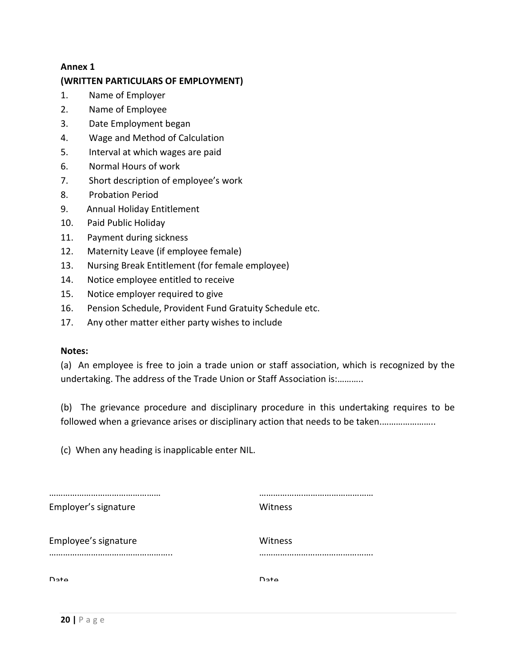#### **Annex 1**

## **(WRITTEN PARTICULARS OF EMPLOYMENT)**

- 1. Name of Employer
- 2. Name of Employee
- 3. Date Employment began
- 4. Wage and Method of Calculation
- 5. Interval at which wages are paid
- 6. Normal Hours of work
- 7. Short description of employee's work
- 8. Probation Period
- 9. Annual Holiday Entitlement
- 10. Paid Public Holiday
- 11. Payment during sickness
- 12. Maternity Leave (if employee female)
- 13. Nursing Break Entitlement (for female employee)
- 14. Notice employee entitled to receive
- 15. Notice employer required to give
- 16. Pension Schedule, Provident Fund Gratuity Schedule etc.
- 17. Any other matter either party wishes to include

#### **Notes:**

(a) An employee is free to join a trade union or staff association, which is recognized by the undertaking. The address of the Trade Union or Staff Association is:………..

(b) The grievance procedure and disciplinary procedure in this undertaking requires to be followed when a grievance arises or disciplinary action that needs to be taken................................

(c) When any heading is inapplicable enter NIL.

| Employer's signature     | Witness        |
|--------------------------|----------------|
| Employee's signature<br> | Witness        |
| $D2 + \alpha$            | D <sub>2</sub> |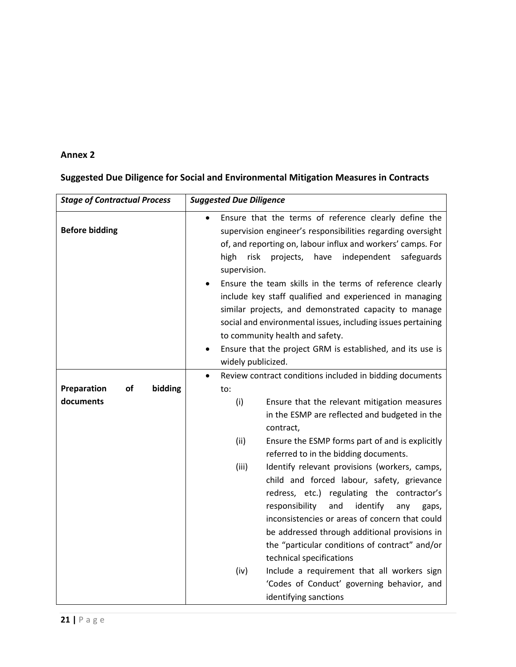## **Annex 2**

## **Suggested Due Diligence for Social and Environmental Mitigation Measures in Contracts**

| <b>Stage of Contractual Process</b> | <b>Suggested Due Diligence</b>                                                                                                                                                                                                                                                                                                                                                           |
|-------------------------------------|------------------------------------------------------------------------------------------------------------------------------------------------------------------------------------------------------------------------------------------------------------------------------------------------------------------------------------------------------------------------------------------|
| <b>Before bidding</b>               | Ensure that the terms of reference clearly define the<br>supervision engineer's responsibilities regarding oversight<br>of, and reporting on, labour influx and workers' camps. For<br>have<br>independent<br>high<br>risk<br>projects,<br>safeguards<br>supervision.                                                                                                                    |
|                                     | Ensure the team skills in the terms of reference clearly<br>include key staff qualified and experienced in managing<br>similar projects, and demonstrated capacity to manage<br>social and environmental issues, including issues pertaining<br>to community health and safety.                                                                                                          |
|                                     | Ensure that the project GRM is established, and its use is<br>widely publicized.                                                                                                                                                                                                                                                                                                         |
| Preparation<br>of<br>bidding        | Review contract conditions included in bidding documents<br>$\bullet$<br>to:                                                                                                                                                                                                                                                                                                             |
| documents                           | (i)<br>Ensure that the relevant mitigation measures<br>in the ESMP are reflected and budgeted in the<br>contract,                                                                                                                                                                                                                                                                        |
|                                     | (ii)<br>Ensure the ESMP forms part of and is explicitly<br>referred to in the bidding documents.                                                                                                                                                                                                                                                                                         |
|                                     | (iii)<br>Identify relevant provisions (workers, camps,<br>child and forced labour, safety, grievance<br>redress, etc.) regulating the contractor's<br>responsibility<br>and<br>identify<br>any<br>gaps,<br>inconsistencies or areas of concern that could<br>be addressed through additional provisions in<br>the "particular conditions of contract" and/or<br>technical specifications |
|                                     | (iv)<br>Include a requirement that all workers sign<br>'Codes of Conduct' governing behavior, and<br>identifying sanctions                                                                                                                                                                                                                                                               |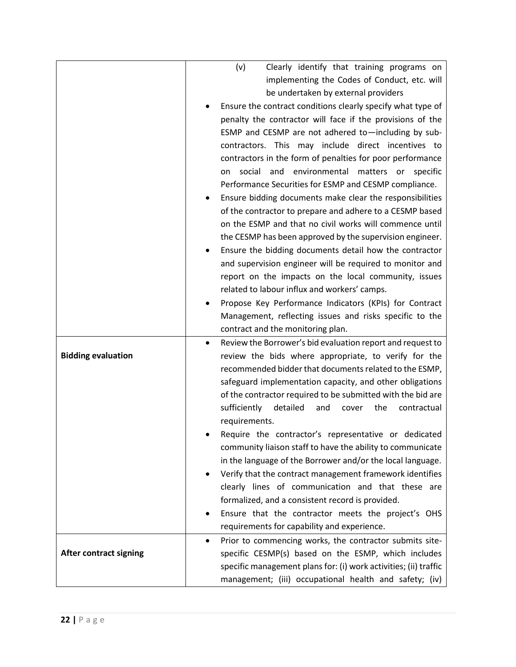|                               | (v)<br>Clearly identify that training programs on                       |
|-------------------------------|-------------------------------------------------------------------------|
|                               | implementing the Codes of Conduct, etc. will                            |
|                               | be undertaken by external providers                                     |
|                               | Ensure the contract conditions clearly specify what type of             |
|                               | penalty the contractor will face if the provisions of the               |
|                               | ESMP and CESMP are not adhered to-including by sub-                     |
|                               | contractors. This may include direct incentives to                      |
|                               | contractors in the form of penalties for poor performance               |
|                               | social<br>and<br>environmental<br>matters<br>specific<br>on<br>or       |
|                               | Performance Securities for ESMP and CESMP compliance.                   |
|                               | Ensure bidding documents make clear the responsibilities                |
|                               | of the contractor to prepare and adhere to a CESMP based                |
|                               | on the ESMP and that no civil works will commence until                 |
|                               | the CESMP has been approved by the supervision engineer.                |
|                               | Ensure the bidding documents detail how the contractor                  |
|                               | and supervision engineer will be required to monitor and                |
|                               | report on the impacts on the local community, issues                    |
|                               | related to labour influx and workers' camps.                            |
|                               | Propose Key Performance Indicators (KPIs) for Contract                  |
|                               | Management, reflecting issues and risks specific to the                 |
|                               |                                                                         |
|                               | contract and the monitoring plan.                                       |
|                               | Review the Borrower's bid evaluation report and request to<br>$\bullet$ |
| <b>Bidding evaluation</b>     | review the bids where appropriate, to verify for the                    |
|                               | recommended bidder that documents related to the ESMP,                  |
|                               | safeguard implementation capacity, and other obligations                |
|                               | of the contractor required to be submitted with the bid are             |
|                               | sufficiently<br>detailed<br>the<br>and<br>cover<br>contractual          |
|                               | requirements.                                                           |
|                               | Require the contractor's representative or dedicated                    |
|                               | community liaison staff to have the ability to communicate              |
|                               | in the language of the Borrower and/or the local language.              |
|                               | Verify that the contract management framework identifies<br>$\bullet$   |
|                               | clearly lines of communication and that these are                       |
|                               | formalized, and a consistent record is provided.                        |
|                               | Ensure that the contractor meets the project's OHS                      |
|                               | requirements for capability and experience.                             |
|                               | Prior to commencing works, the contractor submits site-<br>$\bullet$    |
| <b>After contract signing</b> | specific CESMP(s) based on the ESMP, which includes                     |
|                               | specific management plans for: (i) work activities; (ii) traffic        |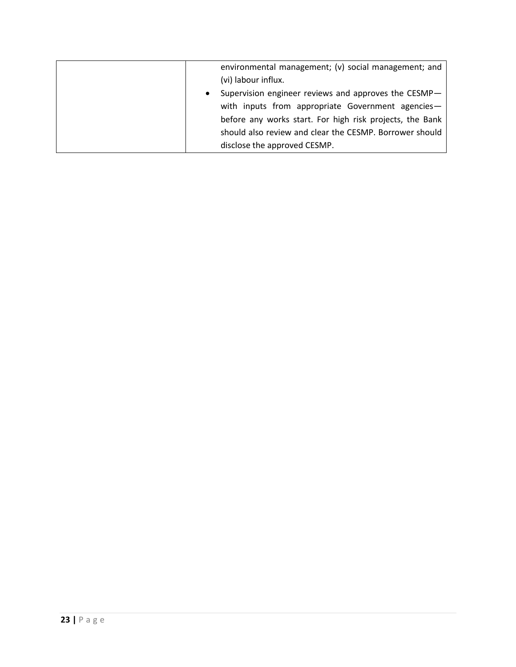| environmental management; (v) social management; and              |
|-------------------------------------------------------------------|
| (vi) labour influx.                                               |
| Supervision engineer reviews and approves the CESMP-<br>$\bullet$ |
| with inputs from appropriate Government agencies-                 |
| before any works start. For high risk projects, the Bank          |
| should also review and clear the CESMP. Borrower should           |
| disclose the approved CESMP.                                      |
|                                                                   |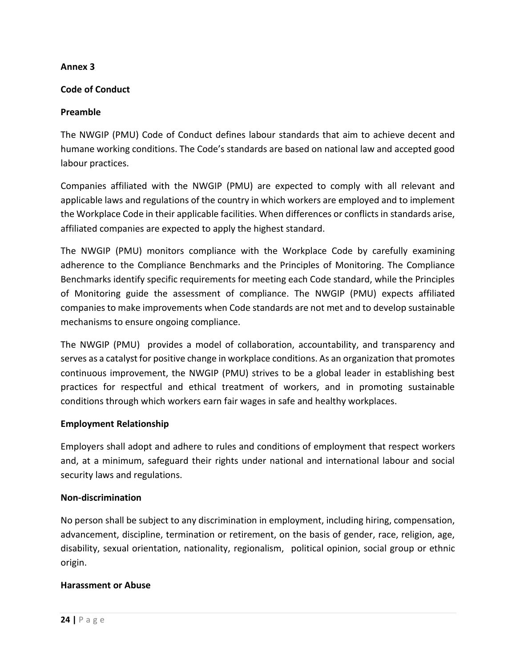#### **Annex 3**

#### **Code of Conduct**

#### **Preamble**

The NWGIP (PMU) Code of Conduct defines labour standards that aim to achieve decent and humane working conditions. The Code's standards are based on national law and accepted good labour practices.

Companies affiliated with the NWGIP (PMU) are expected to comply with all relevant and applicable laws and regulations of the country in which workers are employed and to implement the Workplace Code in their applicable facilities. When differences or conflicts in standards arise, affiliated companies are expected to apply the highest standard.

The NWGIP (PMU) monitors compliance with the Workplace Code by carefully examining adherence to the Compliance Benchmarks and the Principles of Monitoring. The Compliance Benchmarks identify specific requirements for meeting each Code standard, while the Principles of Monitoring guide the assessment of compliance. The NWGIP (PMU) expects affiliated companies to make improvements when Code standards are not met and to develop sustainable mechanisms to ensure ongoing compliance.

The NWGIP (PMU) provides a model of collaboration, accountability, and transparency and serves as a catalyst for positive change in workplace conditions. As an organization that promotes continuous improvement, the NWGIP (PMU) strives to be a global leader in establishing best practices for respectful and ethical treatment of workers, and in promoting sustainable conditions through which workers earn fair wages in safe and healthy workplaces.

#### **Employment Relationship**

Employers shall adopt and adhere to rules and conditions of employment that respect workers and, at a minimum, safeguard their rights under national and international labour and social security laws and regulations.

#### **Non-discrimination**

No person shall be subject to any discrimination in employment, including hiring, compensation, advancement, discipline, termination or retirement, on the basis of gender, race, religion, age, disability, sexual orientation, nationality, regionalism, political opinion, social group or ethnic origin.

#### **Harassment or Abuse**